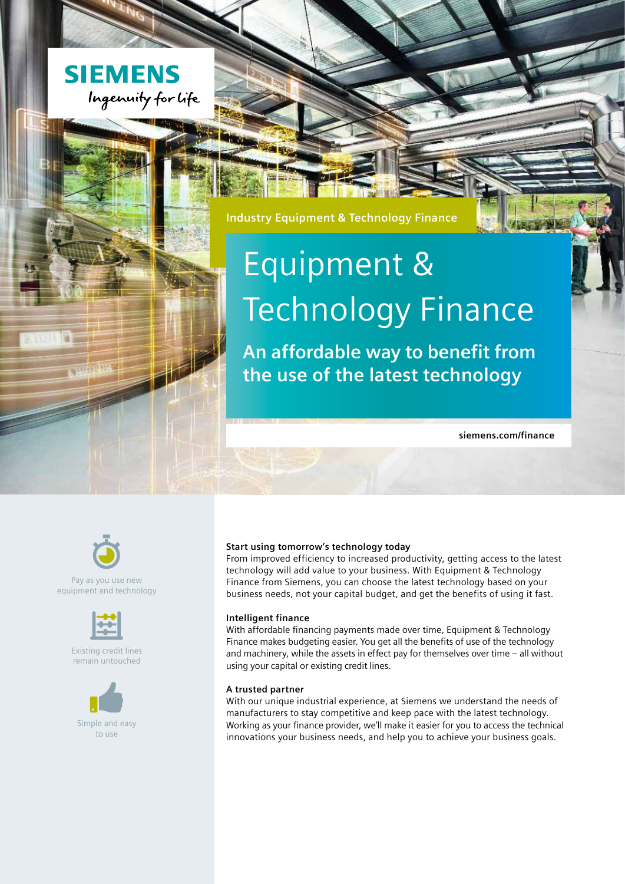

## **Industry Equipment & Technology Finance**

# Equipment & Technology Finance

**An affordable way to benefit from the use of the latest technology**

**siemens.com/finance**



Pay as you use new equipment and technology



Existing credit lines remain untouched



Simple and easy to use

#### **Start using tomorrow's technology today**

From improved efficiency to increased productivity, getting access to the latest technology will add value to your business. With Equipment & Technology Finance from Siemens, you can choose the latest technology based on your business needs, not your capital budget, and get the benefits of using it fast.

#### **Intelligent finance**

With affordable financing payments made over time, Equipment & Technology Finance makes budgeting easier. You get all the benefits of use of the technology and machinery, while the assets in effect pay for themselves over time – all without using your capital or existing credit lines.

#### **A trusted partner**

With our unique industrial experience, at Siemens we understand the needs of manufacturers to stay competitive and keep pace with the latest technology. Working as your finance provider, we'll make it easier for you to access the technical innovations your business needs, and help you to achieve your business goals.